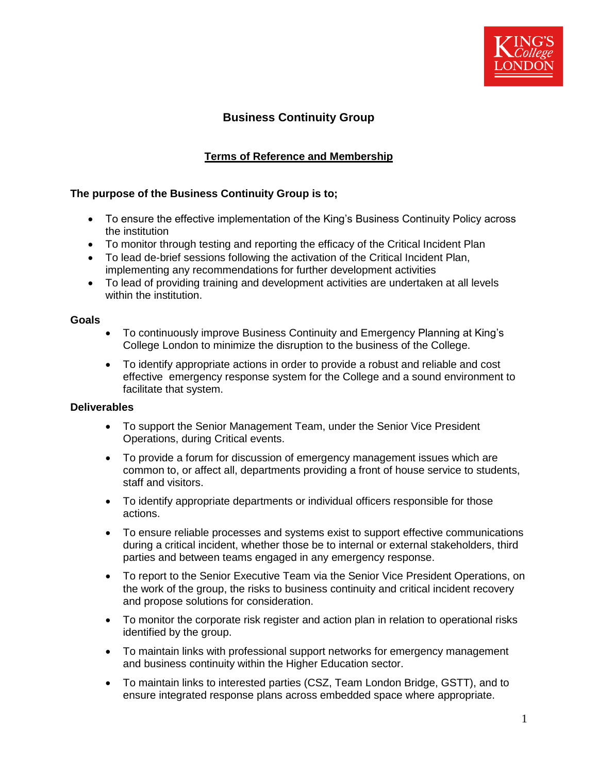

# **Business Continuity Group**

# **Terms of Reference and Membership**

## **The purpose of the Business Continuity Group is to;**

- To ensure the effective implementation of the King's Business Continuity Policy across the institution
- To monitor through testing and reporting the efficacy of the Critical Incident Plan
- To lead de-brief sessions following the activation of the Critical Incident Plan, implementing any recommendations for further development activities
- To lead of providing training and development activities are undertaken at all levels within the institution.

#### **Goals**

- To continuously improve Business Continuity and Emergency Planning at King's College London to minimize the disruption to the business of the College.
- To identify appropriate actions in order to provide a robust and reliable and cost effective emergency response system for the College and a sound environment to facilitate that system.

### **Deliverables**

- To support the Senior Management Team, under the Senior Vice President Operations, during Critical events.
- To provide a forum for discussion of emergency management issues which are common to, or affect all, departments providing a front of house service to students, staff and visitors.
- To identify appropriate departments or individual officers responsible for those actions.
- To ensure reliable processes and systems exist to support effective communications during a critical incident, whether those be to internal or external stakeholders, third parties and between teams engaged in any emergency response.
- To report to the Senior Executive Team via the Senior Vice President Operations, on the work of the group, the risks to business continuity and critical incident recovery and propose solutions for consideration.
- To monitor the corporate risk register and action plan in relation to operational risks identified by the group.
- To maintain links with professional support networks for emergency management and business continuity within the Higher Education sector.
- To maintain links to interested parties (CSZ, Team London Bridge, GSTT), and to ensure integrated response plans across embedded space where appropriate.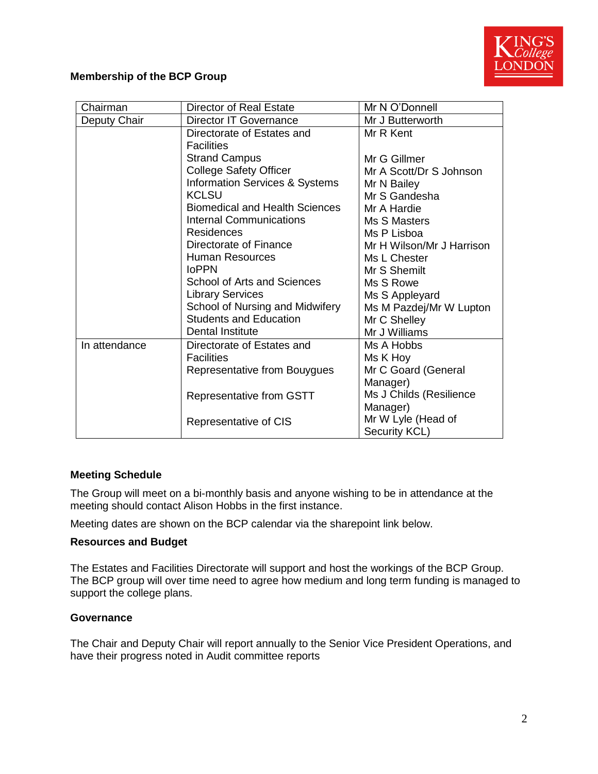

## **Membership of the BCP Group**

| Chairman      | <b>Director of Real Estate</b>        | Mr N O'Donnell                      |  |
|---------------|---------------------------------------|-------------------------------------|--|
| Deputy Chair  | <b>Director IT Governance</b>         | Mr J Butterworth                    |  |
|               | Directorate of Estates and            | Mr R Kent                           |  |
|               | <b>Facilities</b>                     |                                     |  |
|               | <b>Strand Campus</b>                  | Mr G Gillmer                        |  |
|               | <b>College Safety Officer</b>         | Mr A Scott/Dr S Johnson             |  |
|               | Information Services & Systems        | Mr N Bailey                         |  |
|               | <b>KCLSU</b>                          | Mr S Gandesha                       |  |
|               | <b>Biomedical and Health Sciences</b> | Mr A Hardie                         |  |
|               | <b>Internal Communications</b>        | Ms S Masters                        |  |
|               | <b>Residences</b>                     | Ms P Lisboa                         |  |
|               | Directorate of Finance                | Mr H Wilson/Mr J Harrison           |  |
|               | <b>Human Resources</b>                | Ms L Chester                        |  |
|               | <b>IoPPN</b>                          | Mr S Shemilt                        |  |
|               | <b>School of Arts and Sciences</b>    | Ms S Rowe                           |  |
|               | <b>Library Services</b>               | Ms S Appleyard                      |  |
|               | School of Nursing and Midwifery       | Ms M Pazdej/Mr W Lupton             |  |
|               | <b>Students and Education</b>         | Mr C Shelley                        |  |
|               | Dental Institute                      | Mr J Williams                       |  |
| In attendance | Directorate of Estates and            | Ms A Hobbs                          |  |
|               | <b>Facilities</b>                     | Ms K Hoy                            |  |
|               | Representative from Bouygues          | Mr C Goard (General<br>Manager)     |  |
|               | Representative from GSTT              | Ms J Childs (Resilience             |  |
|               |                                       | Manager)                            |  |
|               | Representative of CIS                 | Mr W Lyle (Head of<br>Security KCL) |  |

### **Meeting Schedule**

The Group will meet on a bi-monthly basis and anyone wishing to be in attendance at the meeting should contact Alison Hobbs in the first instance.

Meeting dates are shown on the BCP calendar via the sharepoint link below.

#### **Resources and Budget**

The Estates and Facilities Directorate will support and host the workings of the BCP Group. The BCP group will over time need to agree how medium and long term funding is managed to support the college plans.

#### **Governance**

The Chair and Deputy Chair will report annually to the Senior Vice President Operations, and have their progress noted in Audit committee reports